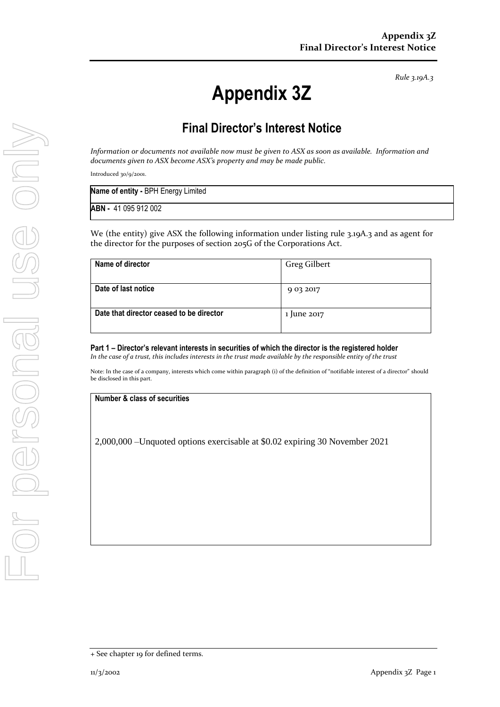*Rule 3.19A.3*

# **Appendix 3Z**

## **Final Director's Interest Notice**

*Information or documents not available now must be given to ASX as soon as available. Information and documents given to ASX become ASX's property and may be made public.*

Introduced 30/9/2001.

| Name of entity - BPH Energy Limited |  |
|-------------------------------------|--|
| <b>ABN - 41 095 912 002</b>         |  |

We (the entity) give ASX the following information under listing rule 3.19A.3 and as agent for the director for the purposes of section 205G of the Corporations Act.

| Name of director                         | Greg Gilbert |
|------------------------------------------|--------------|
|                                          |              |
| Date of last notice                      | 9 03 2017    |
|                                          |              |
| Date that director ceased to be director | 1 June 2017  |
|                                          |              |

**Part 1 – Director's relevant interests in securities of which the director is the registered holder** *In the case of a trust, this includes interests in the trust made available by the responsible entity of the trust*

Note: In the case of a company, interests which come within paragraph (i) of the definition of "notifiable interest of a director" should be disclosed in this part.

#### **Number & class of securities**

2,000,000 –Unquoted options exercisable at \$0.02 expiring 30 November 2021

<sup>+</sup> See chapter 19 for defined terms.